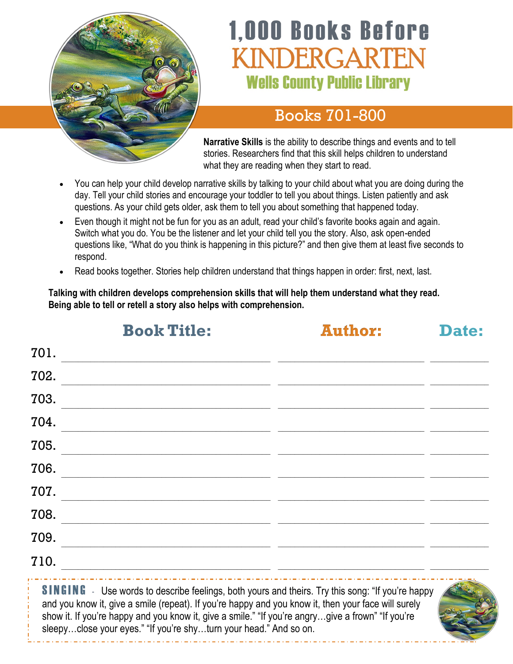

# **1,000 Books Before** INDERGARTEN **Wells County Public Library**

#### Books 701-800

**Narrative Skills** is the ability to describe things and events and to tell stories. Researchers find that this skill helps children to understand what they are reading when they start to read.

- You can help your child develop narrative skills by talking to your child about what you are doing during the day. Tell your child stories and encourage your toddler to tell you about things. Listen patiently and ask questions. As your child gets older, ask them to tell you about something that happened today.
- Even though it might not be fun for you as an adult, read your child's favorite books again and again. Switch what you do. You be the listener and let your child tell you the story. Also, ask open-ended questions like, "What do you think is happening in this picture?" and then give them at least five seconds to respond.
- Read books together. Stories help children understand that things happen in order: first, next, last.

**Talking with children develops comprehension skills that will help them understand what they read. Being able to tell or retell a story also helps with comprehension.**

|      | <b>Book Title:</b>                                                                                                   | <b>Author:</b> | Date: |
|------|----------------------------------------------------------------------------------------------------------------------|----------------|-------|
| 701. |                                                                                                                      |                |       |
| 702. |                                                                                                                      |                |       |
| 703. | <u> 1980 - Jan James James Jan James James Jan James James Jan James James Jan James James Jan James James Jan J</u> |                |       |
| 704. |                                                                                                                      |                |       |
| 705. |                                                                                                                      |                |       |
| 706. |                                                                                                                      |                |       |
| 707. |                                                                                                                      |                |       |
| 708. |                                                                                                                      |                |       |
| 709. |                                                                                                                      |                |       |
| 710. |                                                                                                                      |                |       |
|      |                                                                                                                      |                |       |

**SINGING** - Use words to describe feelings, both yours and theirs. Try this song: "If you're happy and you know it, give a smile (repeat). If you're happy and you know it, then your face will surely show it. If you're happy and you know it, give a smile." "If you're angry...give a frown" "If you're sleepy...close your eyes." "If you're shy...turn your head." And so on.

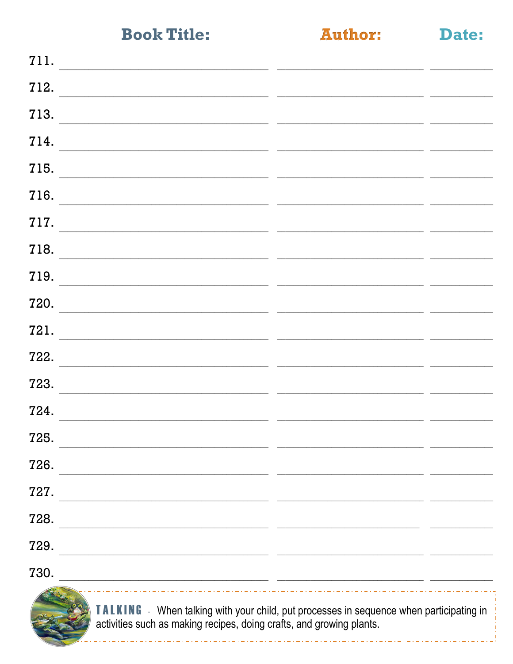**Author:** 

Date:

| 711.                                                                                                                         |  |
|------------------------------------------------------------------------------------------------------------------------------|--|
| 712.                                                                                                                         |  |
| 713.                                                                                                                         |  |
| 714.                                                                                                                         |  |
| 715.<br>the contract of the contract of the contract of the contract of the contract of the contract of                      |  |
| 716.                                                                                                                         |  |
| 717.                                                                                                                         |  |
| 718.                                                                                                                         |  |
| 719.                                                                                                                         |  |
| 720.                                                                                                                         |  |
| 721.                                                                                                                         |  |
| 722.                                                                                                                         |  |
| 723.                                                                                                                         |  |
| 724.<br><u> 1989 - Jan Sarah Serangarta di Bandara Serang Bandara Serang Bandara Serang Bandara Serang Bandara Serang Ba</u> |  |
| 725.                                                                                                                         |  |
| 726.                                                                                                                         |  |
| 727.                                                                                                                         |  |
| 728.                                                                                                                         |  |
| 729.                                                                                                                         |  |
| 730.                                                                                                                         |  |
|                                                                                                                              |  |



TALKING - When talking with your child, put processes in sequence when participating in activities such as making recipes, doing crafts, and growing plants.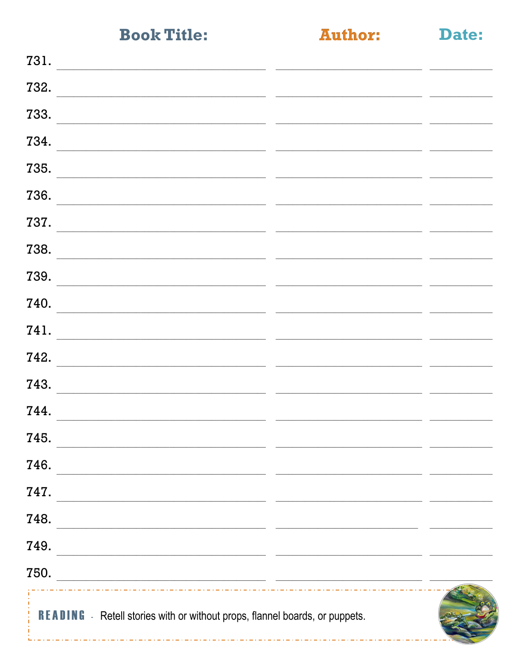**Author:** 

Date:

| 731.                                                                                                                          |  |
|-------------------------------------------------------------------------------------------------------------------------------|--|
| 732.                                                                                                                          |  |
| 733.                                                                                                                          |  |
| 734.                                                                                                                          |  |
| 735.                                                                                                                          |  |
| 736.                                                                                                                          |  |
| 737.                                                                                                                          |  |
| 738.                                                                                                                          |  |
| 739.                                                                                                                          |  |
| 740.                                                                                                                          |  |
| 741.                                                                                                                          |  |
| 742.                                                                                                                          |  |
| 743.                                                                                                                          |  |
| 744.                                                                                                                          |  |
| 745.                                                                                                                          |  |
| 746.                                                                                                                          |  |
| 747.                                                                                                                          |  |
| 748.<br><u> 1999 - Johann Harry Harry Harry Harry Harry Harry Harry Harry Harry Harry Harry Harry Harry Harry Harry Harry</u> |  |
| 749.<br><u> 1989 - Johann John Stein, mars an deutscher Stein († 1958)</u>                                                    |  |
| 750.<br><u> 2000 - Andrea State Barbara, amerikan personal di sebagai personal di sebagai personal di sebagai personal d</u>  |  |
| <b>READING</b> - Retell stories with or without props, flannel boards, or puppets.                                            |  |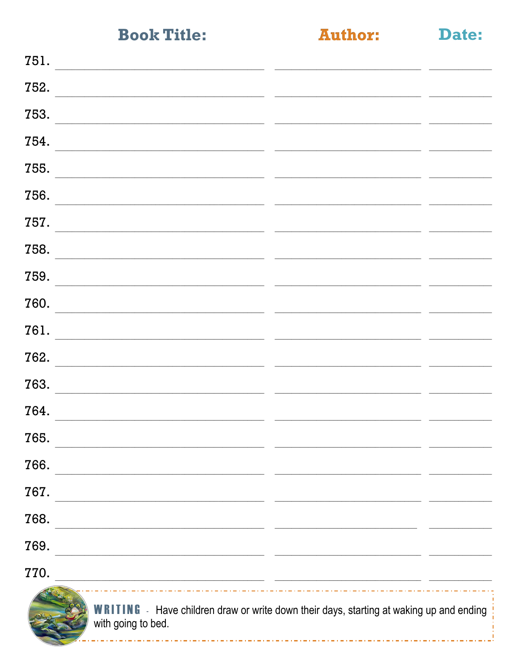**Author:** 

Date:

| 751.                                                                                                                          |  |  |  |
|-------------------------------------------------------------------------------------------------------------------------------|--|--|--|
| 752.                                                                                                                          |  |  |  |
| 753.                                                                                                                          |  |  |  |
| 754.                                                                                                                          |  |  |  |
| 755.                                                                                                                          |  |  |  |
| 756.                                                                                                                          |  |  |  |
| 757.                                                                                                                          |  |  |  |
| 758.                                                                                                                          |  |  |  |
| 759.                                                                                                                          |  |  |  |
| 760.                                                                                                                          |  |  |  |
| 761.                                                                                                                          |  |  |  |
| 762.                                                                                                                          |  |  |  |
| 763.                                                                                                                          |  |  |  |
| 764.                                                                                                                          |  |  |  |
| 765.                                                                                                                          |  |  |  |
| 766.<br>the control of the control of the control of the control of the control of the control of                             |  |  |  |
| 767.<br><u> 1989 - Johann Barbara, martin amerikan basar dan berasal dalam berasal dalam basar dalam basar dalam basar da</u> |  |  |  |
| 768.<br><u> 1989 - Johann Stoff, amerikansk politiker (d. 1989)</u>                                                           |  |  |  |
| 769.<br><u> 1989 - Johann John Stone, market fransk konge og det ble større og de større og de større og de større og de</u>  |  |  |  |
| 770.<br><u> 1989 - Johann Stone, mars and de la provincia de la provincia de la provincia de la provincia de la provincia</u> |  |  |  |
| <b>WRITING</b> - Have children draw or write down their days, starting at waking up and ending<br>with going to bed.          |  |  |  |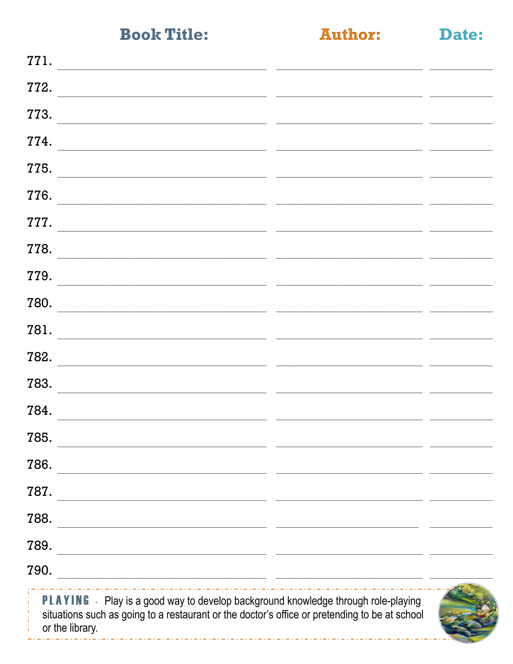**Author:** 

|  | the contract of the contract of | - 3<br>. . |  |
|--|---------------------------------|------------|--|

| 771.                                                                                                                                                                                                         |  |
|--------------------------------------------------------------------------------------------------------------------------------------------------------------------------------------------------------------|--|
| 772.                                                                                                                                                                                                         |  |
| 773.                                                                                                                                                                                                         |  |
| 774.                                                                                                                                                                                                         |  |
| 775.                                                                                                                                                                                                         |  |
| 776.                                                                                                                                                                                                         |  |
| 777.                                                                                                                                                                                                         |  |
| 778.                                                                                                                                                                                                         |  |
| 779.                                                                                                                                                                                                         |  |
| 780.                                                                                                                                                                                                         |  |
| 781.                                                                                                                                                                                                         |  |
| 782.                                                                                                                                                                                                         |  |
| 783.                                                                                                                                                                                                         |  |
| 784.                                                                                                                                                                                                         |  |
| 785.                                                                                                                                                                                                         |  |
| 786.                                                                                                                                                                                                         |  |
| 787.                                                                                                                                                                                                         |  |
| 788.<br><u> 1989 - Jan James James James James James James James James James James James James James James James James J</u>                                                                                 |  |
| 789.<br><u> 1989 - Johann Barbara, margaret eta idazlearia (h. 1989).</u>                                                                                                                                    |  |
| 790.<br><u> 1989 - Jan Samuel Barbara, poeta estable</u> establecente a la construcción de la construcción de la construcción                                                                                |  |
| <b>PLAYING</b> - Play is a good way to develop background knowledge through role-playing<br>situations such as going to a restaurant or the doctor's office or pretending to be at school<br>or the library. |  |

- - - - - - - - - - - -